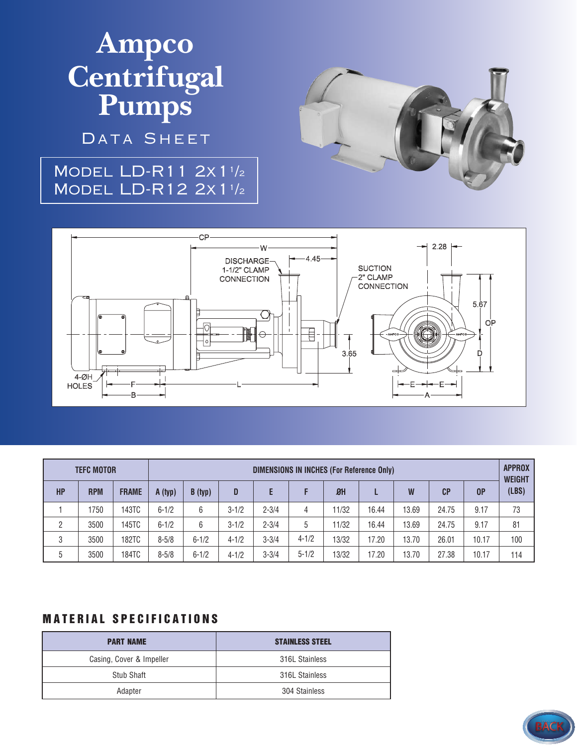# **Ampco Centrifugal Pumps**

DATA SHEET

### Model LD-R11 2x1<sup>1</sup> /2 Model LD-R12 2x1<sup>1</sup> /2





| <b>TEFC MOTOR</b> |            |              | <b>DIMENSIONS IN INCHES (For Reference Only)</b> |           |           |           |           |                |       |       |                |                | <b>APPROX</b><br><b>WEIGHT</b> |
|-------------------|------------|--------------|--------------------------------------------------|-----------|-----------|-----------|-----------|----------------|-------|-------|----------------|----------------|--------------------------------|
| <b>HP</b>         | <b>RPM</b> | <b>FRAME</b> | A (typ)                                          | B(typ)    | D         | E         |           | B <sub>H</sub> |       | W     | C <sub>P</sub> | 0 <sup>P</sup> | (LBS)                          |
|                   | 1750       | 143TC        | $6 - 1/2$                                        | 6         | $3 - 1/2$ | $2 - 3/4$ | 4         | 11/32          | 16.44 | 13.69 | 24.75          | 9.17           | 73                             |
| 2                 | 3500       | 145TC        | $6 - 1/2$                                        | 6         | $3 - 1/2$ | $2 - 3/4$ | 5         | 11/32          | 16.44 | 13.69 | 24.75          | 9.17           | 81                             |
| 3                 | 3500       | 182TC        | $8 - 5/8$                                        | $6 - 1/2$ | $4 - 1/2$ | $3 - 3/4$ | $4 - 1/2$ | 13/32          | 17.20 | 13.70 | 26.01          | 10.17          | 100                            |
| 5                 | 3500       | 184TC        | $8 - 5/8$                                        | $6 - 1/2$ | $4 - 1/2$ | $3 - 3/4$ | $5 - 1/2$ | 13/32          | 17.20 | 13.70 | 27.38          | 10.17          | 114                            |

#### **MATERIAL SPECIFICATIONS**

| <b>PART NAME</b>         | <b>STAINLESS STEEL</b> |
|--------------------------|------------------------|
| Casing, Cover & Impeller | 316L Stainless         |
| <b>Stub Shaft</b>        | 316L Stainless         |
| Adapter                  | 304 Stainless          |